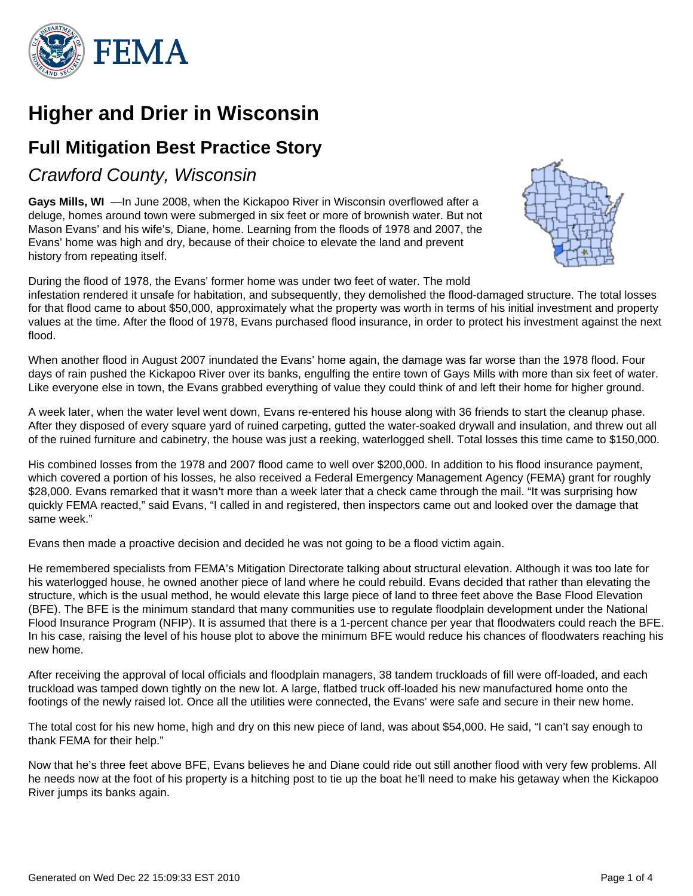

# **Higher and Drier in Wisconsin**

## **Full Mitigation Best Practice Story**

Crawford County, Wisconsin

**Gays Mills, WI** —In June 2008, when the Kickapoo River in Wisconsin overflowed after a deluge, homes around town were submerged in six feet or more of brownish water. But not Mason Evans' and his wife's, Diane, home. Learning from the floods of 1978 and 2007, the Evans' home was high and dry, because of their choice to elevate the land and prevent history from repeating itself.



During the flood of 1978, the Evans' former home was under two feet of water. The mold infestation rendered it unsafe for habitation, and subsequently, they demolished the flood-damaged structure. The total losses for that flood came to about \$50,000, approximately what the property was worth in terms of his initial investment and property values at the time. After the flood of 1978, Evans purchased flood insurance, in order to protect his investment against the next flood.

When another flood in August 2007 inundated the Evans' home again, the damage was far worse than the 1978 flood. Four days of rain pushed the Kickapoo River over its banks, engulfing the entire town of Gays Mills with more than six feet of water. Like everyone else in town, the Evans grabbed everything of value they could think of and left their home for higher ground.

A week later, when the water level went down, Evans re-entered his house along with 36 friends to start the cleanup phase. After they disposed of every square yard of ruined carpeting, gutted the water-soaked drywall and insulation, and threw out all of the ruined furniture and cabinetry, the house was just a reeking, waterlogged shell. Total losses this time came to \$150,000.

His combined losses from the 1978 and 2007 flood came to well over \$200,000. In addition to his flood insurance payment, which covered a portion of his losses, he also received a Federal Emergency Management Agency (FEMA) grant for roughly \$28,000. Evans remarked that it wasn't more than a week later that a check came through the mail. "It was surprising how quickly FEMA reacted," said Evans, "I called in and registered, then inspectors came out and looked over the damage that same week."

Evans then made a proactive decision and decided he was not going to be a flood victim again.

He remembered specialists from FEMA's Mitigation Directorate talking about structural elevation. Although it was too late for his waterlogged house, he owned another piece of land where he could rebuild. Evans decided that rather than elevating the structure, which is the usual method, he would elevate this large piece of land to three feet above the Base Flood Elevation (BFE). The BFE is the minimum standard that many communities use to regulate floodplain development under the National Flood Insurance Program (NFIP). It is assumed that there is a 1-percent chance per year that floodwaters could reach the BFE. In his case, raising the level of his house plot to above the minimum BFE would reduce his chances of floodwaters reaching his new home.

After receiving the approval of local officials and floodplain managers, 38 tandem truckloads of fill were off-loaded, and each truckload was tamped down tightly on the new lot. A large, flatbed truck off-loaded his new manufactured home onto the footings of the newly raised lot. Once all the utilities were connected, the Evans' were safe and secure in their new home.

The total cost for his new home, high and dry on this new piece of land, was about \$54,000. He said, "I can't say enough to thank FEMA for their help."

Now that he's three feet above BFE, Evans believes he and Diane could ride out still another flood with very few problems. All he needs now at the foot of his property is a hitching post to tie up the boat he'll need to make his getaway when the Kickapoo River jumps its banks again.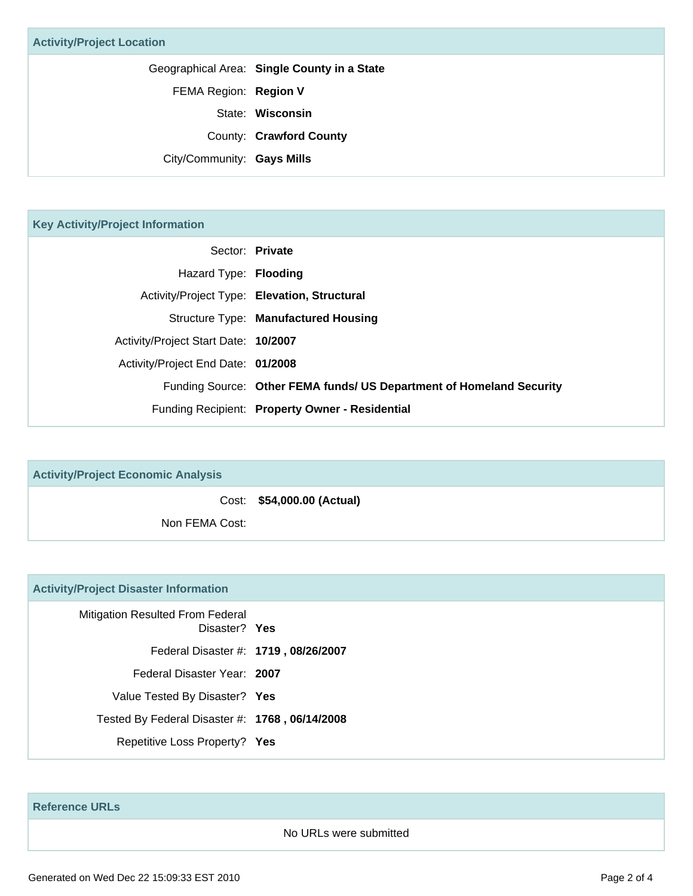Geographical Area: **Single County in a State**

FEMA Region: **Region V**

State: **Wisconsin**

County: **Crawford County**

City/Community: **Gays Mills**

### **Key Activity/Project Information**

|                                      | Sector: Private                                                      |
|--------------------------------------|----------------------------------------------------------------------|
| Hazard Type: Flooding                |                                                                      |
|                                      | Activity/Project Type: Elevation, Structural                         |
|                                      | Structure Type: Manufactured Housing                                 |
| Activity/Project Start Date: 10/2007 |                                                                      |
| Activity/Project End Date: 01/2008   |                                                                      |
|                                      | Funding Source: Other FEMA funds/ US Department of Homeland Security |
|                                      | Funding Recipient: Property Owner - Residential                      |

| <b>Activity/Project Economic Analysis</b> |                            |
|-------------------------------------------|----------------------------|
|                                           | Cost: \$54,000.00 (Actual) |
| Non FEMA Cost:                            |                            |

#### **Activity/Project Disaster Information**

| Mitigation Resulted From Federal<br>Disaster? Yes |  |
|---------------------------------------------------|--|
| Federal Disaster #: 1719, 08/26/2007              |  |
| Federal Disaster Year: 2007                       |  |
| Value Tested By Disaster? Yes                     |  |
| Tested By Federal Disaster #: 1768, 06/14/2008    |  |
| Repetitive Loss Property? Yes                     |  |

**Reference URLs**

#### No URLs were submitted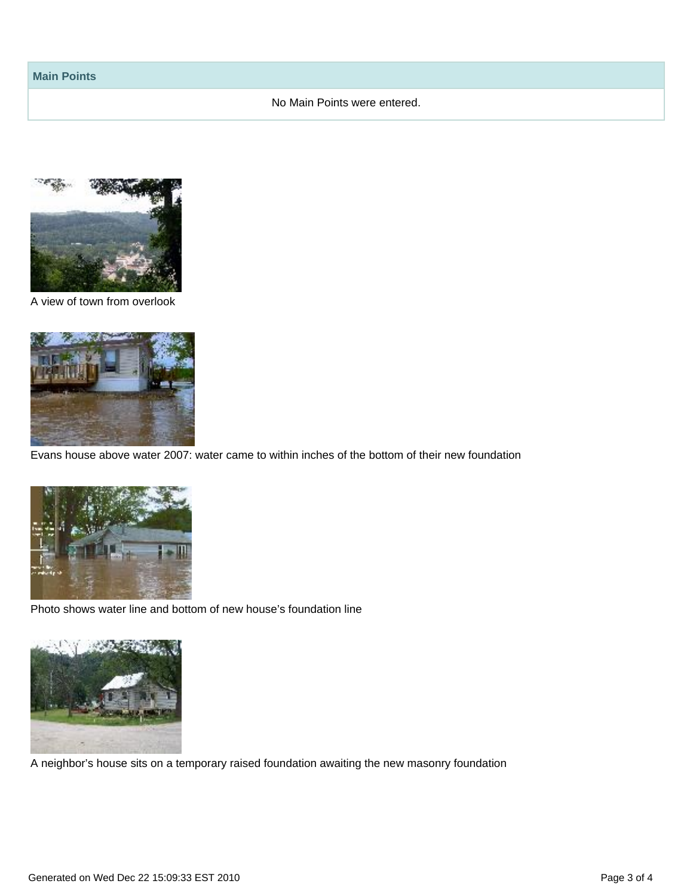#### No Main Points were entered.



A view of town from overlook



Evans house above water 2007: water came to within inches of the bottom of their new foundation



Photo shows water line and bottom of new house's foundation line



A neighbor's house sits on a temporary raised foundation awaiting the new masonry foundation